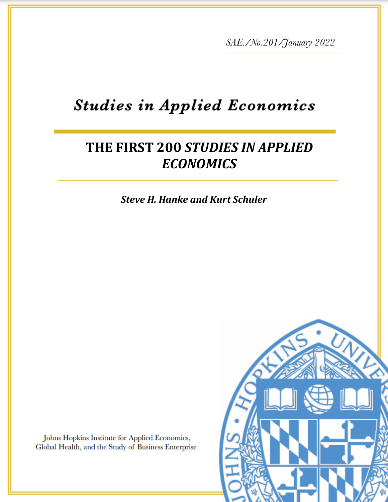*SAE./No.201/January 2022*

# **Studies in Applied Economics**

# **THE FIRST 200 STUDIES IN APPLIED** *ECONOMICS*

*Ambika Kandasamy Steve H. Hanke and Kurt Schuler*

Johns Hopkins Institute for Applied Economics, Global Health, and the Study of Business Enterprise

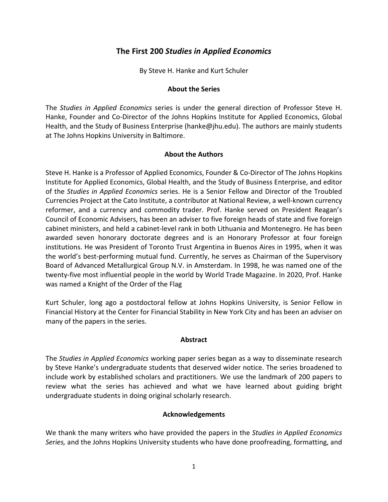## **The First 200** *Studies in Applied Economics*

By Steve H. Hanke and Kurt Schuler

#### **About the Series**

The *Studies in Applied Economics* series is under the general direction of Professor Steve H. Hanke, Founder and Co-Director of the Johns Hopkins Institute for Applied Economics, Global Health, and the Study of Business Enterprise (hanke@jhu.edu). The authors are mainly students at The Johns Hopkins University in Baltimore.

#### **About the Authors**

Steve H. Hanke is a Professor of Applied Economics, Founder & Co-Director of The Johns Hopkins Institute for Applied Economics, Global Health, and the Study of Business Enterprise, and editor of the *Studies in Applied Economics* series. He is a Senior Fellow and Director of the Troubled Currencies Project at the Cato Institute, a contributor at National Review, a well-known currency reformer, and a currency and commodity trader. Prof. Hanke served on President Reagan's Council of Economic Advisers, has been an adviser to five foreign heads of state and five foreign cabinet ministers, and held a cabinet-level rank in both Lithuania and Montenegro. He has been awarded seven honorary doctorate degrees and is an Honorary Professor at four foreign institutions. He was President of Toronto Trust Argentina in Buenos Aires in 1995, when it was the world's best-performing mutual fund. Currently, he serves as Chairman of the Supervisory Board of Advanced Metallurgical Group N.V. in Amsterdam. In 1998, he was named one of the twenty-five most influential people in the world by World Trade Magazine. In 2020, Prof. Hanke was named a Knight of the Order of the Flag

Kurt Schuler, long ago a postdoctoral fellow at Johns Hopkins University, is Senior Fellow in Financial History at the Center for Financial Stability in New York City and has been an adviser on many of the papers in the series.

#### **Abstract**

The *Studies in Applied Economics* working paper series began as a way to disseminate research by Steve Hanke's undergraduate students that deserved wider notice. The series broadened to include work by established scholars and practitioners. We use the landmark of 200 papers to review what the series has achieved and what we have learned about guiding bright undergraduate students in doing original scholarly research.

#### **Acknowledgements**

We thank the many writers who have provided the papers in the *Studies in Applied Economics Series,* and the Johns Hopkins University students who have done proofreading, formatting, and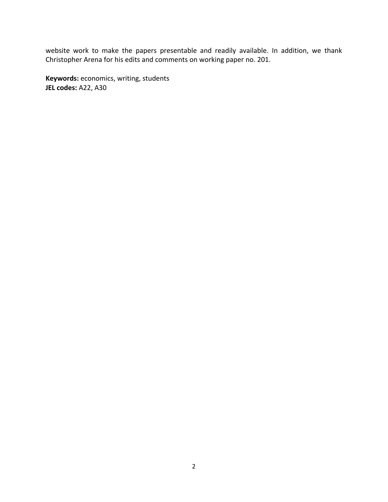website work to make the papers presentable and readily available. In addition, we thank Christopher Arena for his edits and comments on working paper no. 201.

**Keywords:** economics, writing, students **JEL codes:** A22, A30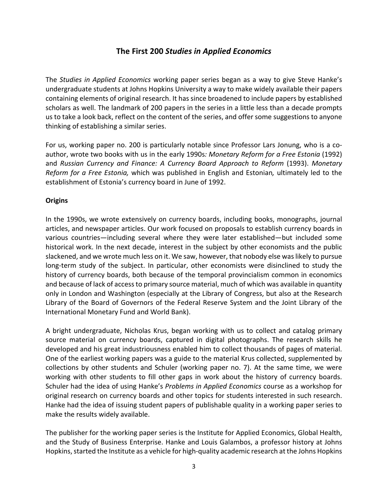### **The First 200** *Studies in Applied Economics*

The *Studies in Applied Economics* working paper series began as a way to give Steve Hanke's undergraduate students at Johns Hopkins University a way to make widely available their papers containing elements of original research. It has since broadened to include papers by established scholars as well. The landmark of 200 papers in the series in a little less than a decade prompts us to take a look back, reflect on the content of the series, and offer some suggestions to anyone thinking of establishing a similar series.

For us, working paper no. 200 is particularly notable since Professor Lars Jonung, who is a coauthor, wrote two books with us in the early 1990s*: Monetary Reform for a Free Estonia* (1992) and *Russian Currency and Finance: A Currency Board Approach to Reform* (1993). *Monetary Reform for a Free Estonia,* which was published in English and Estonian*,* ultimately led to the establishment of Estonia's currency board in June of 1992.

#### **Origins**

In the 1990s, we wrote extensively on currency boards, including books, monographs, journal articles, and newspaper articles. Our work focused on proposals to establish currency boards in various countries—including several where they were later established—but included some historical work. In the next decade, interest in the subject by other economists and the public slackened, and we wrote much less on it. We saw, however, that nobody else was likely to pursue long-term study of the subject. In particular, other economists were disinclined to study the history of currency boards, both because of the temporal provincialism common in economics and because of lack of access to primary source material, much of which was available in quantity only in London and Washington (especially at the Library of Congress, but also at the Research Library of the Board of Governors of the Federal Reserve System and the Joint Library of the International Monetary Fund and World Bank).

A bright undergraduate, Nicholas Krus, began working with us to collect and catalog primary source material on currency boards, captured in digital photographs. The research skills he developed and his great industriousness enabled him to collect thousands of pages of material. One of the earliest working papers was a guide to the material Krus collected, supplemented by collections by other students and Schuler (working paper no. 7). At the same time, we were working with other students to fill other gaps in work about the history of currency boards. Schuler had the idea of using Hanke's *Problems in Applied Economics* course as a workshop for original research on currency boards and other topics for students interested in such research. Hanke had the idea of issuing student papers of publishable quality in a working paper series to make the results widely available.

The publisher for the working paper series is the Institute for Applied Economics, Global Health, and the Study of Business Enterprise. Hanke and Louis Galambos, a professor history at Johns Hopkins, started the Institute as a vehicle for high-quality academic research at the Johns Hopkins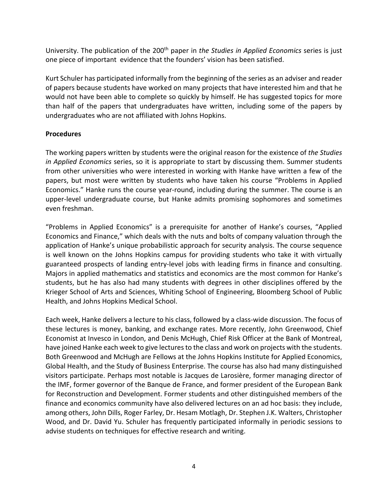University. The publication of the 200<sup>th</sup> paper in *the Studies in Applied Economics* series is just one piece of important evidence that the founders' vision has been satisfied.

Kurt Schuler has participated informally from the beginning of the series as an adviser and reader of papers because students have worked on many projects that have interested him and that he would not have been able to complete so quickly by himself. He has suggested topics for more than half of the papers that undergraduates have written, including some of the papers by undergraduates who are not affiliated with Johns Hopkins.

#### **Procedures**

The working papers written by students were the original reason for the existence of *the Studies in Applied Economics* series, so it is appropriate to start by discussing them. Summer students from other universities who were interested in working with Hanke have written a few of the papers, but most were written by students who have taken his course "Problems in Applied Economics." Hanke runs the course year-round, including during the summer. The course is an upper-level undergraduate course, but Hanke admits promising sophomores and sometimes even freshman.

"Problems in Applied Economics" is a prerequisite for another of Hanke's courses, "Applied Economics and Finance," which deals with the nuts and bolts of company valuation through the application of Hanke's unique probabilistic approach for security analysis. The course sequence is well known on the Johns Hopkins campus for providing students who take it with virtually guaranteed prospects of landing entry-level jobs with leading firms in finance and consulting. Majors in applied mathematics and statistics and economics are the most common for Hanke's students, but he has also had many students with degrees in other disciplines offered by the Krieger School of Arts and Sciences, Whiting School of Engineering, Bloomberg School of Public Health, and Johns Hopkins Medical School.

Each week, Hanke delivers a lecture to his class, followed by a class-wide discussion. The focus of these lectures is money, banking, and exchange rates. More recently, John Greenwood, Chief Economist at Invesco in London, and Denis McHugh, Chief Risk Officer at the Bank of Montreal, have joined Hanke each week to give lectures to the class and work on projects with the students. Both Greenwood and McHugh are Fellows at the Johns Hopkins Institute for Applied Economics, Global Health, and the Study of Business Enterprise. The course has also had many distinguished visitors participate. Perhaps most notable is Jacques de Larosière, former managing director of the IMF, former governor of the Banque de France, and former president of the European Bank for Reconstruction and Development. Former students and other distinguished members of the finance and economics community have also delivered lectures on an ad hoc basis: they include, among others, John Dills, Roger Farley, Dr. Hesam Motlagh, Dr. Stephen J.K. Walters, Christopher Wood, and Dr. David Yu. Schuler has frequently participated informally in periodic sessions to advise students on techniques for effective research and writing.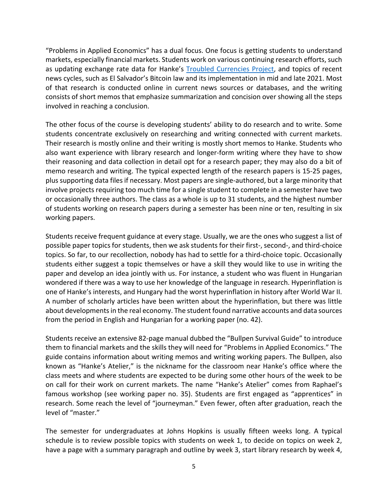"Problems in Applied Economics" has a dual focus. One focus is getting students to understand markets, especially financial markets. Students work on various continuing research efforts, such as updating exchange rate data for Hanke's Troubled Currencies Project, and topics of recent news cycles, such as El Salvador's Bitcoin law and its implementation in mid and late 2021. Most of that research is conducted online in current news sources or databases, and the writing consists of short memos that emphasize summarization and concision over showing all the steps involved in reaching a conclusion.

The other focus of the course is developing students' ability to do research and to write. Some students concentrate exclusively on researching and writing connected with current markets. Their research is mostly online and their writing is mostly short memos to Hanke. Students who also want experience with library research and longer-form writing where they have to show their reasoning and data collection in detail opt for a research paper; they may also do a bit of memo research and writing. The typical expected length of the research papers is 15-25 pages, plus supporting data files if necessary. Most papers are single-authored, but a large minority that involve projects requiring too much time for a single student to complete in a semester have two or occasionally three authors. The class as a whole is up to 31 students, and the highest number of students working on research papers during a semester has been nine or ten, resulting in six working papers.

Students receive frequent guidance at every stage. Usually, we are the ones who suggest a list of possible paper topics for students, then we ask students for their first-, second-, and third-choice topics. So far, to our recollection, nobody has had to settle for a third-choice topic. Occasionally students either suggest a topic themselves or have a skill they would like to use in writing the paper and develop an idea jointly with us. For instance, a student who was fluent in Hungarian wondered if there was a way to use her knowledge of the language in research. Hyperinflation is one of Hanke's interests, and Hungary had the worst hyperinflation in history after World War II. A number of scholarly articles have been written about the hyperinflation, but there was little about developments in the real economy. The student found narrative accounts and data sources from the period in English and Hungarian for a working paper (no. 42).

Students receive an extensive 82-page manual dubbed the "Bullpen Survival Guide" to introduce them to financial markets and the skills they will need for "Problems in Applied Economics." The guide contains information about writing memos and writing working papers. The Bullpen, also known as "Hanke's Atelier," is the nickname for the classroom near Hanke's office where the class meets and where students are expected to be during some other hours of the week to be on call for their work on current markets. The name "Hanke's Atelier" comes from Raphael's famous workshop (see working paper no. 35). Students are first engaged as "apprentices" in research. Some reach the level of "journeyman." Even fewer, often after graduation, reach the level of "master."

The semester for undergraduates at Johns Hopkins is usually fifteen weeks long. A typical schedule is to review possible topics with students on week 1, to decide on topics on week 2, have a page with a summary paragraph and outline by week 3, start library research by week 4,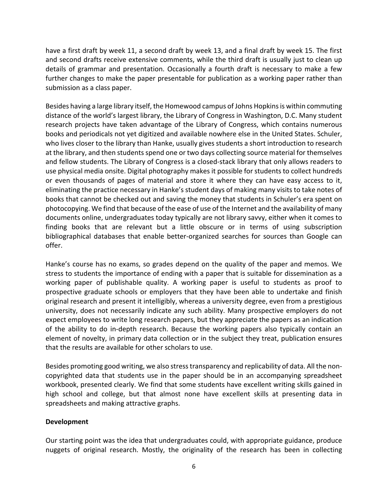have a first draft by week 11, a second draft by week 13, and a final draft by week 15. The first and second drafts receive extensive comments, while the third draft is usually just to clean up details of grammar and presentation. Occasionally a fourth draft is necessary to make a few further changes to make the paper presentable for publication as a working paper rather than submission as a class paper.

Besides having a large library itself, the Homewood campus of Johns Hopkins is within commuting distance of the world's largest library, the Library of Congress in Washington, D.C. Many student research projects have taken advantage of the Library of Congress, which contains numerous books and periodicals not yet digitized and available nowhere else in the United States. Schuler, who lives closer to the library than Hanke, usually gives students a short introduction to research at the library, and then students spend one or two days collecting source material for themselves and fellow students. The Library of Congress is a closed-stack library that only allows readers to use physical media onsite. Digital photography makes it possible for students to collect hundreds or even thousands of pages of material and store it where they can have easy access to it, eliminating the practice necessary in Hanke's student days of making many visits to take notes of books that cannot be checked out and saving the money that students in Schuler's era spent on photocopying. We find that because of the ease of use of the Internet and the availability of many documents online, undergraduates today typically are not library savvy, either when it comes to finding books that are relevant but a little obscure or in terms of using subscription bibliographical databases that enable better-organized searches for sources than Google can offer.

Hanke's course has no exams, so grades depend on the quality of the paper and memos. We stress to students the importance of ending with a paper that is suitable for dissemination as a working paper of publishable quality. A working paper is useful to students as proof to prospective graduate schools or employers that they have been able to undertake and finish original research and present it intelligibly, whereas a university degree, even from a prestigious university, does not necessarily indicate any such ability. Many prospective employers do not expect employees to write long research papers, but they appreciate the papers as an indication of the ability to do in-depth research. Because the working papers also typically contain an element of novelty, in primary data collection or in the subject they treat, publication ensures that the results are available for other scholars to use.

Besides promoting good writing, we also stress transparency and replicability of data. All the noncopyrighted data that students use in the paper should be in an accompanying spreadsheet workbook, presented clearly. We find that some students have excellent writing skills gained in high school and college, but that almost none have excellent skills at presenting data in spreadsheets and making attractive graphs.

#### **Development**

Our starting point was the idea that undergraduates could, with appropriate guidance, produce nuggets of original research. Mostly, the originality of the research has been in collecting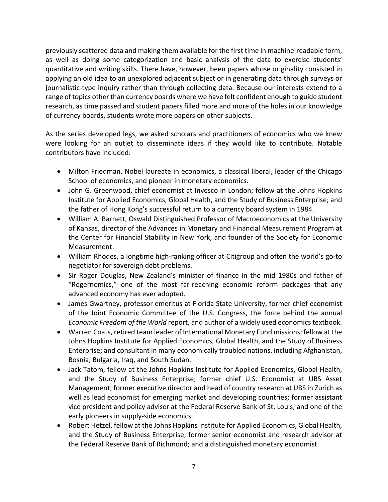previously scattered data and making them available for the first time in machine-readable form, as well as doing some categorization and basic analysis of the data to exercise students' quantitative and writing skills. There have, however, been papers whose originality consisted in applying an old idea to an unexplored adjacent subject or in generating data through surveys or journalistic-type inquiry rather than through collecting data. Because our interests extend to a range of topics other than currency boards where we have felt confident enough to guide student research, as time passed and student papers filled more and more of the holes in our knowledge of currency boards, students wrote more papers on other subjects.

As the series developed legs, we asked scholars and practitioners of economics who we knew were looking for an outlet to disseminate ideas if they would like to contribute. Notable contributors have included:

- Milton Friedman, Nobel laureate in economics, a classical liberal, leader of the Chicago School of economics, and pioneer in monetary economics.
- John G. Greenwood, chief economist at Invesco in London; fellow at the Johns Hopkins Institute for Applied Economics, Global Health, and the Study of Business Enterprise; and the father of Hong Kong's successful return to a currency board system in 1984.
- William A. Barnett, Oswald Distinguished Professor of Macroeconomics at the University of Kansas, director of the Advances in Monetary and Financial Measurement Program at the Center for Financial Stability in New York, and founder of the Society for Economic Measurement.
- William Rhodes, a longtime high-ranking officer at Citigroup and often the world's go-to negotiator for sovereign debt problems.
- Sir Roger Douglas, New Zealand's minister of finance in the mid 1980s and father of "Rogernomics," one of the most far-reaching economic reform packages that any advanced economy has ever adopted.
- James Gwartney, professor emeritus at Florida State University, former chief economist of the Joint Economic Committee of the U.S. Congress, the force behind the annual *Economic Freedom of the World* report, and author of a widely used economics textbook.
- Warren Coats, retired team leader of International Monetary Fund missions; fellow at the Johns Hopkins Institute for Applied Economics, Global Health, and the Study of Business Enterprise; and consultant in many economically troubled nations, including Afghanistan, Bosnia, Bulgaria, Iraq, and South Sudan.
- Jack Tatom, fellow at the Johns Hopkins Institute for Applied Economics, Global Health, and the Study of Business Enterprise; former chief U.S. Economist at UBS Asset Management; former executive director and head of country research at UBS in Zurich as well as lead economist for emerging market and developing countries; former assistant vice president and policy adviser at the Federal Reserve Bank of St. Louis; and one of the early pioneers in supply-side economics.
- Robert Hetzel, fellow at the Johns Hopkins Institute for Applied Economics, Global Health, and the Study of Business Enterprise; former senior economist and research advisor at the Federal Reserve Bank of Richmond; and a distinguished monetary economist.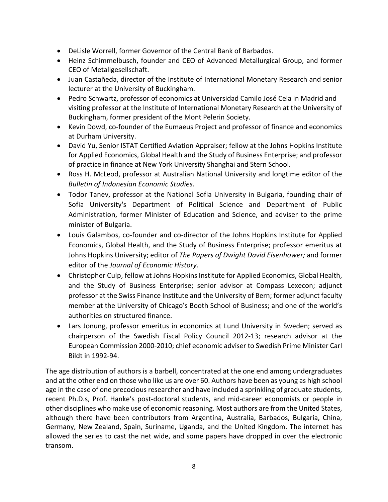- DeLisle Worrell, former Governor of the Central Bank of Barbados.
- Heinz Schimmelbusch, founder and CEO of Advanced Metallurgical Group, and former CEO of Metallgesellschaft.
- Juan Castañeda, director of the Institute of International Monetary Research and senior lecturer at the University of Buckingham.
- Pedro Schwartz, professor of economics at Universidad Camilo José Cela in Madrid and visiting professor at the Institute of International Monetary Research at the University of Buckingham, former president of the Mont Pelerin Society.
- Kevin Dowd, co-founder of the Eumaeus Project and professor of finance and economics at Durham University.
- David Yu, Senior ISTAT Certified Aviation Appraiser; fellow at the Johns Hopkins Institute for Applied Economics, Global Health and the Study of Business Enterprise; and professor of practice in finance at New York University Shanghai and Stern School.
- Ross H. McLeod, professor at Australian National University and longtime editor of the *Bulletin of Indonesian Economic Studies.*
- Todor Tanev, professor at the National Sofia University in Bulgaria, founding chair of Sofia University's Department of Political Science and Department of Public Administration, former Minister of Education and Science, and adviser to the prime minister of Bulgaria.
- Louis Galambos, co-founder and co-director of the Johns Hopkins Institute for Applied Economics, Global Health, and the Study of Business Enterprise; professor emeritus at Johns Hopkins University; editor of *The Papers of Dwight David Eisenhower;* and former editor of the *Journal of Economic History.*
- Christopher Culp, fellow at Johns Hopkins Institute for Applied Economics, Global Health, and the Study of Business Enterprise; senior advisor at Compass Lexecon; adjunct professor at the Swiss Finance Institute and the University of Bern; former adjunct faculty member at the University of Chicago's Booth School of Business; and one of the world's authorities on structured finance.
- Lars Jonung, professor emeritus in economics at Lund University in Sweden; served as chairperson of the Swedish Fiscal Policy Council 2012-13; research advisor at the European Commission 2000-2010; chief economic adviser to Swedish Prime Minister Carl Bildt in 1992-94.

The age distribution of authors is a barbell, concentrated at the one end among undergraduates and at the other end on those who like us are over 60. Authors have been as young as high school age in the case of one precocious researcher and have included a sprinkling of graduate students, recent Ph.D.s, Prof. Hanke's post-doctoral students, and mid-career economists or people in other disciplines who make use of economic reasoning. Most authors are from the United States, although there have been contributors from Argentina, Australia, Barbados, Bulgaria, China, Germany, New Zealand, Spain, Suriname, Uganda, and the United Kingdom. The internet has allowed the series to cast the net wide, and some papers have dropped in over the electronic transom.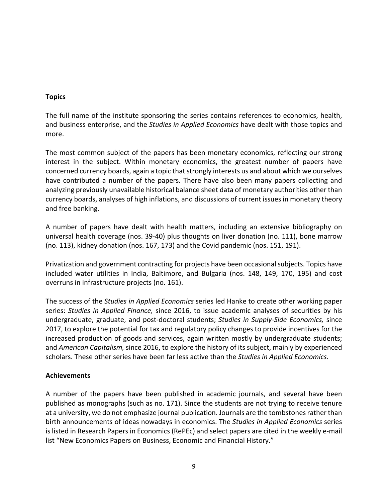#### **Topics**

The full name of the institute sponsoring the series contains references to economics, health, and business enterprise, and the *Studies in Applied Economics* have dealt with those topics and more.

The most common subject of the papers has been monetary economics, reflecting our strong interest in the subject. Within monetary economics, the greatest number of papers have concerned currency boards, again a topic that strongly interests us and about which we ourselves have contributed a number of the papers. There have also been many papers collecting and analyzing previously unavailable historical balance sheet data of monetary authorities other than currency boards, analyses of high inflations, and discussions of current issues in monetary theory and free banking.

A number of papers have dealt with health matters, including an extensive bibliography on universal health coverage (nos. 39-40) plus thoughts on liver donation (no. 111), bone marrow (no. 113), kidney donation (nos. 167, 173) and the Covid pandemic (nos. 151, 191).

Privatization and government contracting for projects have been occasional subjects. Topics have included water utilities in India, Baltimore, and Bulgaria (nos. 148, 149, 170, 195) and cost overruns in infrastructure projects (no. 161).

The success of the *Studies in Applied Economics* series led Hanke to create other working paper series: *Studies in Applied Finance,* since 2016, to issue academic analyses of securities by his undergraduate, graduate, and post-doctoral students; *Studies in Supply-Side Economics,* since 2017, to explore the potential for tax and regulatory policy changes to provide incentives for the increased production of goods and services, again written mostly by undergraduate students; and *American Capitalism,* since 2016, to explore the history of its subject, mainly by experienced scholars. These other series have been far less active than the *Studies in Applied Economics.*

#### **Achievements**

A number of the papers have been published in academic journals, and several have been published as monographs (such as no. 171). Since the students are not trying to receive tenure at a university, we do not emphasize journal publication. Journals are the tombstones rather than birth announcements of ideas nowadays in economics. The *Studies in Applied Economics* series is listed in Research Papers in Economics (RePEc) and select papers are cited in the weekly e-mail list "New Economics Papers on Business, Economic and Financial History."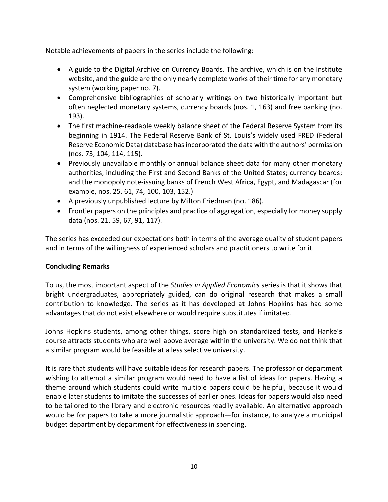Notable achievements of papers in the series include the following:

- A guide to the Digital Archive on Currency Boards. The archive, which is on the Institute website, and the guide are the only nearly complete works of their time for any monetary system (working paper no. 7).
- Comprehensive bibliographies of scholarly writings on two historically important but often neglected monetary systems, currency boards (nos. 1, 163) and free banking (no. 193).
- The first machine-readable weekly balance sheet of the Federal Reserve System from its beginning in 1914. The Federal Reserve Bank of St. Louis's widely used FRED (Federal Reserve Economic Data) database has incorporated the data with the authors' permission (nos. 73, 104, 114, 115).
- Previously unavailable monthly or annual balance sheet data for many other monetary authorities, including the First and Second Banks of the United States; currency boards; and the monopoly note-issuing banks of French West Africa, Egypt, and Madagascar (for example, nos. 25, 61, 74, 100, 103, 152.)
- A previously unpublished lecture by Milton Friedman (no. 186).
- Frontier papers on the principles and practice of aggregation, especially for money supply data (nos. 21, 59, 67, 91, 117).

The series has exceeded our expectations both in terms of the average quality of student papers and in terms of the willingness of experienced scholars and practitioners to write for it.

#### **Concluding Remarks**

To us, the most important aspect of the *Studies in Applied Economics* series is that it shows that bright undergraduates, appropriately guided, can do original research that makes a small contribution to knowledge. The series as it has developed at Johns Hopkins has had some advantages that do not exist elsewhere or would require substitutes if imitated.

Johns Hopkins students, among other things, score high on standardized tests, and Hanke's course attracts students who are well above average within the university. We do not think that a similar program would be feasible at a less selective university.

It is rare that students will have suitable ideas for research papers. The professor or department wishing to attempt a similar program would need to have a list of ideas for papers. Having a theme around which students could write multiple papers could be helpful, because it would enable later students to imitate the successes of earlier ones. Ideas for papers would also need to be tailored to the library and electronic resources readily available. An alternative approach would be for papers to take a more journalistic approach—for instance, to analyze a municipal budget department by department for effectiveness in spending.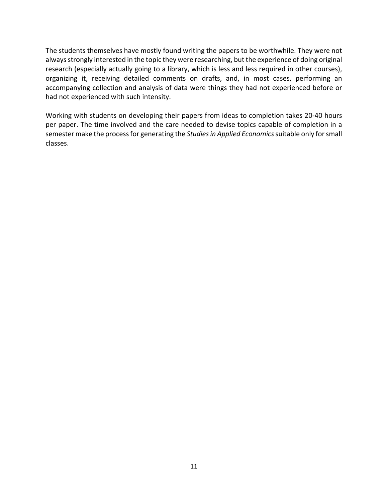The students themselves have mostly found writing the papers to be worthwhile. They were not always strongly interested in the topic they were researching, but the experience of doing original research (especially actually going to a library, which is less and less required in other courses), organizing it, receiving detailed comments on drafts, and, in most cases, performing an accompanying collection and analysis of data were things they had not experienced before or had not experienced with such intensity.

Working with students on developing their papers from ideas to completion takes 20-40 hours per paper. The time involved and the care needed to devise topics capable of completion in a semester make the process for generating the *Studies in Applied Economics*suitable only for small classes.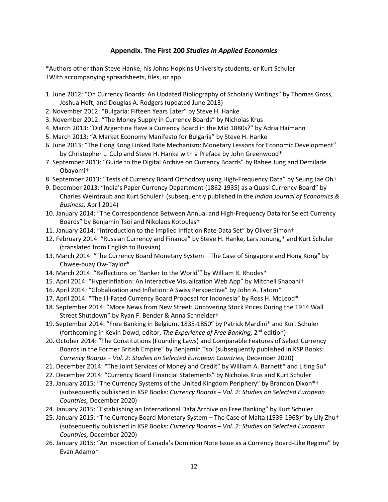#### **Appendix. The First 200** *Studies in Applied Economics*

\*Authors other than Steve Hanke, his Johns Hopkins University students, or Kurt Schuler †With accompanying spreadsheets, files, or app

- 1. June 2012: "On Currency Boards: An Updated Bibliography of Scholarly Writings" by Thomas Gross, Joshua Heft, and Douglas A. Rodgers (updated June 2013)
- 2. November 2012: "Bulgaria: Fifteen Years Later" by Steve H. Hanke
- 3. November 2012: "The Money Supply in Currency Boards" by Nicholas Krus
- 4. March 2013: "Did Argentina Have a Currency Board in the Mid 1880s?" by Adria Haimann
- 5. March 2013: "A Market Economy Manifesto for Bulgaria" by Steve H. Hanke
- 6. June 2013: "The Hong Kong Linked Rate Mechanism: Monetary Lessons for Economic Development" by Christopher L. Culp and Steve H. Hanke with a Preface by John Greenwood\*
- 7. September 2013: "Guide to the Digital Archive on Currency Boards" by Rahee Jung and Demilade Obayomi†
- 8. September 2013: "Tests of Currency Board Orthodoxy using High-Frequency Data" by Seung Jae Oh†
- 9. December 2013: "India's Paper Currency Department (1862-1935) as a Quasi Currency Board" by Charles Weintraub and Kurt Schuler† (subsequently published in the *Indian Journal of Economics & Business,* April 2014)
- 10. January 2014: "The Correspondence Between Annual and High-Frequency Data for Select Currency Boards" by Benjamin Tsoi and Nikolaos Kotoulas†
- 11. January 2014: "Introduction to the Implied Inflation Rate Data Set" by Oliver Simon†
- 12. February 2014: "Russian Currency and Finance" by Steve H. Hanke, Lars Jonung,\* and Kurt Schuler (translated from English to Russian)
- 13. March 2014: "The Currency Board Monetary System—The Case of Singapore and Hong Kong" by Chwee-huay Ow-Taylor\*
- 14. March 2014: "Reflections on 'Banker to the World'" by William R. Rhodes\*
- 15. April 2014: "Hyperinflation: An Interactive Visualization Web App" by Mitchell Shabani†
- 16. April 2014: "Globalization and Inflation: A Swiss Perspective" by John A. Tatom\*
- 17. April 2014: "The Ill-Fated Currency Board Proposal for Indonesia" by Ross H. McLeod\*
- 18. September 2014: "More News from New Street: Uncovering Stock Prices During the 1914 Wall Street Shutdown" by Ryan F. Bender & Anna Schneider†
- 19. September 2014: "Free Banking in Belgium, 1835-1850" by Patrick Mardini\* and Kurt Schuler (forthcoming in Kevin Dowd, editor, *The Experience of Free Banking,* 2nd edition)
- 20. October 2014: "The Constitutions (Founding Laws) and Comparable Features of Select Currency Boards in the Former British Empire" by Benjamin Tsoi (subsequently published in KSP Books: *Currency Boards – Vol. 2: Studies on Selected European Countries,* December 2020)
- 21. December 2014: "The Joint Services of Money and Credit" by William A. Barnett\* and Liting Su\*
- 22. December 2014: "Currency Board Financial Statements" by Nicholas Krus and Kurt Schuler
- 23. January 2015: "The Currency Systems of the United Kingdom Periphery" by Brandon Dixon\*† (subsequently published in KSP Books: *Currency Boards – Vol. 2: Studies on Selected European Countries,* December 2020)
- 24. January 2015: "Establishing an International Data Archive on Free Banking" by Kurt Schuler
- 25. January 2015: "The Currency Board Monetary System The Case of Malta (1939-1968)" by Lily Zhu† (subsequently published in KSP Books: *Currency Boards – Vol. 2: Studies on Selected European Countries,* December 2020)
- 26. January 2015: "An Inspection of Canada's Dominion Note Issue as a Currency Board-Like Regime" by Evan Adamo†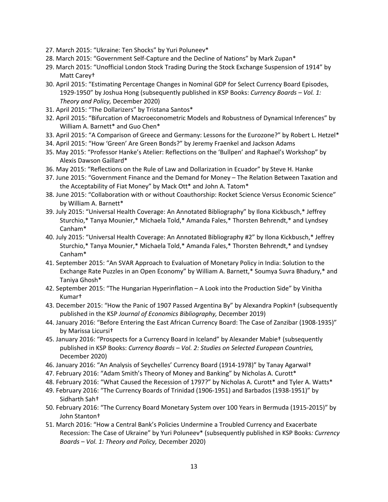- 27. March 2015: "Ukraine: Ten Shocks" by Yuri Poluneev\*
- 28. March 2015: "Government Self-Capture and the Decline of Nations" by Mark Zupan\*
- 29. March 2015: "Unofficial London Stock Trading During the Stock Exchange Suspension of 1914" by Matt Carey†
- 30. April 2015: "Estimating Percentage Changes in Nominal GDP for Select Currency Board Episodes, 1929-1950" by Joshua Hong (subsequently published in KSP Books: *Currency Boards – Vol. 1: Theory and Policy,* December 2020)
- 31. April 2015: "The Dollarizers" by Tristana Santos\*
- 32. April 2015: "Bifurcation of Macroeconometric Models and Robustness of Dynamical Inferences" by William A. Barnett\* and Guo Chen\*
- 33. April 2015: "A Comparison of Greece and Germany: Lessons for the Eurozone?" by Robert L. Hetzel\*
- 34. April 2015: "How 'Green' Are Green Bonds?" by Jeremy Fraenkel and Jackson Adams
- 35. May 2015: "Professor Hanke's Atelier: Reflections on the 'Bullpen' and Raphael's Workshop" by Alexis Dawson Gaillard\*
- 36. May 2015: "Reflections on the Rule of Law and Dollarization in Ecuador" by Steve H. Hanke
- 37. June 2015: "Government Finance and the Demand for Money The Relation Between Taxation and the Acceptability of Fiat Money" by Mack Ott\* and John A. Tatom\*
- 38. June 2015: "Collaboration with or without Coauthorship: Rocket Science Versus Economic Science" by William A. Barnett\*
- 39. July 2015: "Universal Health Coverage: An Annotated Bibliography" by Ilona Kickbusch,\* Jeffrey Sturchio,\* Tanya Mounier,\* Michaela Told,\* Amanda Fales,\* Thorsten Behrendt,\* and Lyndsey Canham\*
- 40. July 2015: "Universal Health Coverage: An Annotated Bibliography #2" by Ilona Kickbusch,\* Jeffrey Sturchio,\* Tanya Mounier,\* Michaela Told,\* Amanda Fales,\* Thorsten Behrendt,\* and Lyndsey Canham\*
- 41. September 2015: "An SVAR Approach to Evaluation of Monetary Policy in India: Solution to the Exchange Rate Puzzles in an Open Economy" by William A. Barnett,\* Soumya Suvra Bhadury,\* and Taniya Ghosh\*
- 42. September 2015: "The Hungarian Hyperinflation A Look into the Production Side" by Vinitha Kumar†
- 43. December 2015: "How the Panic of 1907 Passed Argentina By" by Alexandra Popkin† (subsequently published in the KSP *Journal of Economics Bibliography,* December 2019)
- 44. January 2016: "Before Entering the East African Currency Board: The Case of Zanzibar (1908-1935)" by Marissa Licursi†
- 45. January 2016: "Prospects for a Currency Board in Iceland" by Alexander Mabie† (subsequently published in KSP Books: *Currency Boards – Vol. 2: Studies on Selected European Countries,*  December 2020)
- 46. January 2016: "An Analysis of Seychelles' Currency Board (1914-1978)" by Tanay Agarwal†
- 47. February 2016: "Adam Smith's Theory of Money and Banking" by Nicholas A. Curott\*
- 48. February 2016: "What Caused the Recession of 1797?" by Nicholas A. Curott\* and Tyler A. Watts\*
- 49. February 2016: "The Currency Boards of Trinidad (1906-1951) and Barbados (1938-1951)" by Sidharth Sah†
- 50. February 2016: "The Currency Board Monetary System over 100 Years in Bermuda (1915-2015)" by John Stanton†
- 51. March 2016: "How a Central Bank's Policies Undermine a Troubled Currency and Exacerbate Recession: The Case of Ukraine" by Yuri Poluneev\* (subsequently published in KSP Books*: Currency Boards – Vol. 1: Theory and Policy,* December 2020)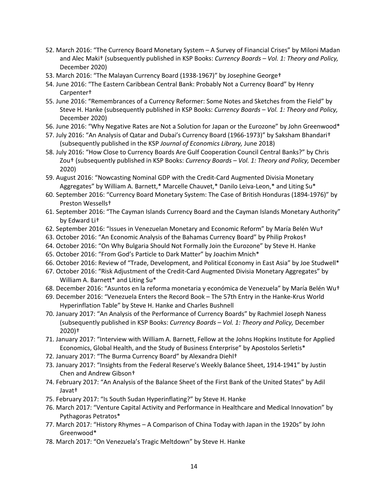- 52. March 2016: "The Currency Board Monetary System A Survey of Financial Crises" by Miloni Madan and Alec Maki† (subsequently published in KSP Books: *Currency Boards – Vol. 1: Theory and Policy,* December 2020)
- 53. March 2016: "The Malayan Currency Board (1938-1967)" by Josephine George†
- 54. June 2016: "The Eastern Caribbean Central Bank: Probably Not a Currency Board" by Henry Carpenter†
- 55. June 2016: "Remembrances of a Currency Reformer: Some Notes and Sketches from the Field" by Steve H. Hanke (subsequently published in KSP Books: *Currency Boards – Vol. 1: Theory and Policy,*  December 2020)
- 56. June 2016: "Why Negative Rates are Not a Solution for Japan or the Eurozone" by John Greenwood\*
- 57. July 2016: "An Analysis of Qatar and Dubai's Currency Board (1966-1973)" by Saksham Bhandari† (subsequently published in the KSP *Journal of Economics Library,* June 2018)
- 58. July 2016: "How Close to Currency Boards Are Gulf Cooperation Council Central Banks?" by Chris Zou† (subsequently published in KSP Books: *Currency Boards – Vol. 1: Theory and Policy,* December 2020)
- 59. August 2016: "Nowcasting Nominal GDP with the Credit-Card Augmented Divisia Monetary Aggregates" by William A. Barnett,\* Marcelle Chauvet,\* Danilo Leiva-Leon,\* and Liting Su\*
- 60. September 2016: "Currency Board Monetary System: The Case of British Honduras (1894-1976)" by Preston Wessells†
- 61. September 2016: "The Cayman Islands Currency Board and the Cayman Islands Monetary Authority" by Edward Li†
- 62. September 2016: "Issues in Venezuelan Monetary and Economic Reform" by María Belén Wu†
- 63. October 2016: "An Economic Analysis of the Bahamas Currency Board" by Philip Prokos†
- 64. October 2016: "On Why Bulgaria Should Not Formally Join the Eurozone" by Steve H. Hanke
- 65. October 2016: "From God's Particle to Dark Matter" by Joachim Mnich\*
- 66. October 2016: Review of "Trade, Development, and Political Economy in East Asia" by Joe Studwell\*
- 67. October 2016: "Risk Adjustment of the Credit-Card Augmented Divisia Monetary Aggregates" by William A. Barnett\* and Liting Su\*
- 68. December 2016: "Asuntos en la reforma monetaria y económica de Venezuela" by María Belén Wu†
- 69. December 2016: "Venezuela Enters the Record Book The 57th Entry in the Hanke-Krus World Hyperinflation Table" by Steve H. Hanke and Charles Bushnell
- 70. January 2017: "An Analysis of the Performance of Currency Boards" by Rachmiel Joseph Naness (subsequently published in KSP Books: *Currency Boards – Vol. 1: Theory and Policy,* December 2020)†
- 71. January 2017: "Interview with William A. Barnett, Fellow at the Johns Hopkins Institute for Applied Economics, Global Health, and the Study of Business Enterprise" by Apostolos Serletis\*
- 72. January 2017: "The Burma Currency Board" by Alexandra Diehl†
- 73. January 2017: "Insights from the Federal Reserve's Weekly Balance Sheet, 1914-1941" by Justin Chen and Andrew Gibson†
- 74. February 2017: "An Analysis of the Balance Sheet of the First Bank of the United States" by Adil Javat†
- 75. February 2017: "Is South Sudan Hyperinflating?" by Steve H. Hanke
- 76. March 2017: "Venture Capital Activity and Performance in Healthcare and Medical Innovation" by Pythagoras Petratos\*
- 77. March 2017: "History Rhymes A Comparison of China Today with Japan in the 1920s" by John Greenwood\*
- 78. March 2017: "On Venezuela's Tragic Meltdown" by Steve H. Hanke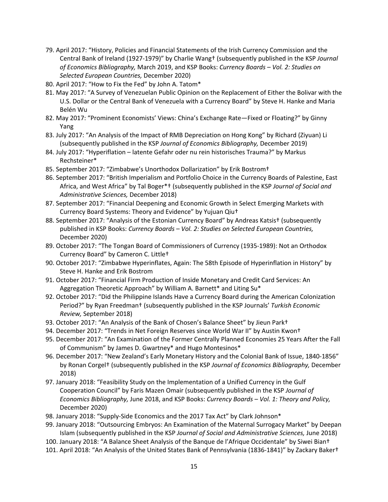- 79. April 2017: "History, Policies and Financial Statements of the Irish Currency Commission and the Central Bank of Ireland (1927-1979)" by Charlie Wang† (subsequently published in the KSP *Journal of Economics Bibliography,* March 2019, and KSP Books: *Currency Boards – Vol. 2: Studies on Selected European Countries,* December 2020)
- 80. April 2017: "How to Fix the Fed" by John A. Tatom\*
- 81. May 2017: "A Survey of Venezuelan Public Opinion on the Replacement of Either the Bolivar with the U.S. Dollar or the Central Bank of Venezuela with a Currency Board" by Steve H. Hanke and Maria Belén Wu
- 82. May 2017: "Prominent Economists' Views: China's Exchange Rate—Fixed or Floating?" by Ginny Yang
- 83. July 2017: "An Analysis of the Impact of RMB Depreciation on Hong Kong" by Richard (Ziyuan) Li (subsequently published in the KSP *Journal of Economics Bibliography,* December 2019)
- 84. July 2017: "Hyperiflation latente Gefahr oder nu rein historisches Trauma?" by Markus Rechsteiner\*
- 85. September 2017: "Zimbabwe's Unorthodox Dollarization" by Erik Bostrom†
- 86. September 2017: "British Imperialism and Portfolio Choice in the Currency Boards of Palestine, East Africa, and West Africa" by Tal Boger\*† (subsequently published in the KSP *Journal of Social and Administrative Sciences,* December 2018)
- 87. September 2017: "Financial Deepening and Economic Growth in Select Emerging Markets with Currency Board Systems: Theory and Evidence" by Yujuan Qiu†
- 88. September 2017: "Analysis of the Estonian Currency Board" by Andreas Katsist (subsequently published in KSP Books: *Currency Boards – Vol. 2: Studies on Selected European Countries,*  December 2020)
- 89. October 2017: "The Tongan Board of Commissioners of Currency (1935-1989): Not an Orthodox Currency Board" by Cameron C. Little†
- 90. October 2017: "Zimbabwe Hyperinflates, Again: The 58th Episode of Hyperinflation in History" by Steve H. Hanke and Erik Bostrom
- 91. October 2017: "Financial Firm Production of Inside Monetary and Credit Card Services: An Aggregation Theoretic Approach" by William A. Barnett\* and Liting Su\*
- 92. October 2017: "Did the Philippine Islands Have a Currency Board during the American Colonization Period?" by Ryan Freedman† (subsequently published in the KSP Journals' *Turkish Economic Review,* September 2018)
- 93. October 2017: "An Analysis of the Bank of Chosen's Balance Sheet" by Jieun Park†
- 94. December 2017: "Trends in Net Foreign Reserves since World War II" by Austin Kwon†
- 95. December 2017: "An Examination of the Former Centrally Planned Economies 25 Years After the Fall of Communism" by James D. Gwartney\* and Hugo Montesinos\*
- 96. December 2017: "New Zealand's Early Monetary History and the Colonial Bank of Issue, 1840-1856" by Ronan Corgel† (subsequently published in the KSP *Journal of Economics Bibliography,* December 2018)
- 97. January 2018: "Feasibility Study on the Implementation of a Unified Currency in the Gulf Cooperation Council" by Faris Mazen Omair (subsequently published in the KSP *Journal of Economics Bibliography,* June 2018, and KSP Books: *Currency Boards – Vol. 1: Theory and Policy,* December 2020)
- 98. January 2018: "Supply-Side Economics and the 2017 Tax Act" by Clark Johnson\*
- 99. January 2018: "Outsourcing Embryos: An Examination of the Maternal Surrogacy Market" by Deepan Islam (subsequently published in the KSP *Journal of Social and Administrative Sciences,* June 2018)
- 100. January 2018: "A Balance Sheet Analysis of the Banque de l'Afrique Occidentale" by Siwei Bian†
- 101. April 2018: "An Analysis of the United States Bank of Pennsylvania (1836-1841)" by Zackary Baker†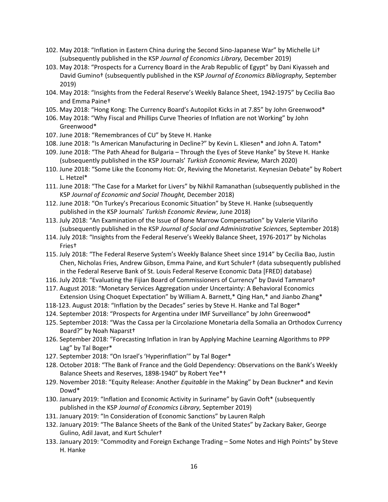- 102. May 2018: "Inflation in Eastern China during the Second Sino-Japanese War" by Michelle Li† (subsequently published in the KSP *Journal of Economics Library,* December 2019)
- 103. May 2018: "Prospects for a Currency Board in the Arab Republic of Egypt" by Dani Kiyasseh and David Gumino† (subsequently published in the KSP *Journal of Economics Bibliography,* September 2019)
- 104. May 2018: "Insights from the Federal Reserve's Weekly Balance Sheet, 1942-1975" by Cecilia Bao and Emma Paine†
- 105. May 2018: "Hong Kong: The Currency Board's Autopilot Kicks in at 7.85" by John Greenwood\*
- 106. May 2018: "Why Fiscal and Phillips Curve Theories of Inflation are not Working" by John Greenwood\*
- 107. June 2018: "Remembrances of CU" by Steve H. Hanke
- 108. June 2018: "Is American Manufacturing in Decline?" by Kevin L. Kliesen\* and John A. Tatom\*
- 109. June 2018: "The Path Ahead for Bulgaria Through the Eyes of Steve Hanke" by Steve H. Hanke (subsequently published in the KSP Journals' *Turkish Economic Review,* March 2020)
- 110. June 2018: "Some Like the Economy Hot: Or, Reviving the Monetarist. Keynesian Debate" by Robert L. Hetzel\*
- 111. June 2018: "The Case for a Market for Livers" by Nikhil Ramanathan (subsequently published in the KSP *Journal of Economic and Social Thought,* December 2018)
- 112. June 2018: "On Turkey's Precarious Economic Situation" by Steve H. Hanke (subsequently published in the KSP Journals' *Turkish Economic Review*, June 2018)
- 113. July 2018: "An Examination of the Issue of Bone Marrow Compensation" by Valerie Vilariño (subsequently published in the KSP *Journal of Social and Administrative Sciences,* September 2018)
- 114. July 2018: "Insights from the Federal Reserve's Weekly Balance Sheet, 1976-2017" by Nicholas Fries†
- 115. July 2018: "The Federal Reserve System's Weekly Balance Sheet since 1914" by Cecilia Bao, Justin Chen, Nicholas Fries, Andrew Gibson, Emma Paine, and Kurt Schuler† (data subsequently published in the Federal Reserve Bank of St. Louis Federal Reserve Economic Data [FRED} database)
- 116. July 2018: "Evaluating the Fijian Board of Commissioners of Currency" by David Tammaro†
- 117. August 2018: "Monetary Services Aggregation under Uncertainty: A Behavioral Economics Extension Using Choquet Expectation" by William A. Barnett,\* Qing Han,\* and Jianbo Zhang\*
- 118-123. August 2018: "Inflation by the Decades" series by Steve H. Hanke and Tal Boger\*
- 124. September 2018: "Prospects for Argentina under IMF Surveillance" by John Greenwood\*
- 125. September 2018: "Was the Cassa per la Circolazione Monetaria della Somalia an Orthodox Currency Board?" by Noah Naparst†
- 126. September 2018: "Forecasting Inflation in Iran by Applying Machine Learning Algorithms to PPP Lag" by Tal Boger\*
- 127. September 2018: "On Israel's 'Hyperinflation'" by Tal Boger\*
- 128. October 2018: "The Bank of France and the Gold Dependency: Observations on the Bank's Weekly Balance Sheets and Reserves, 1898-1940" by Robert Yee\*†
- 129. November 2018: "Equity Release: Another *Equitable* in the Making" by Dean Buckner\* and Kevin Dowd\*
- 130. January 2019: "Inflation and Economic Activity in Suriname" by Gavin Ooft\* (subsequently published in the KSP *Journal of Economics Library,* September 2019)
- 131. January 2019: "In Consideration of Economic Sanctions" by Lauren Ralph
- 132. January 2019: "The Balance Sheets of the Bank of the United States" by Zackary Baker, George Gulino, Adil Javat, and Kurt Schuler†
- 133. January 2019: "Commodity and Foreign Exchange Trading Some Notes and High Points" by Steve H. Hanke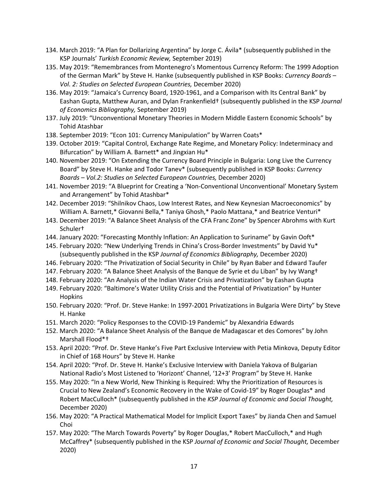- 134. March 2019: "A Plan for Dollarizing Argentina" by Jorge C. Ávila\* (subsequently published in the KSP Journals' *Turkish Economic Review,* September 2019)
- 135. May 2019: "Remembrances from Montenegro's Momentous Currency Reform: The 1999 Adoption of the German Mark" by Steve H. Hanke (subsequently published in KSP Books: *Currency Boards – Vol. 2: Studies on Selected European Countries,* December 2020)
- 136. May 2019: "Jamaica's Currency Board, 1920-1961, and a Comparison with Its Central Bank" by Eashan Gupta, Matthew Auran, and Dylan Frankenfield† (subsequently published in the KSP *Journal of Economics Bibliography,* September 2019)
- 137. July 2019: "Unconventional Monetary Theories in Modern Middle Eastern Economic Schools" by Tohid Atashbar
- 138. September 2019: "Econ 101: Currency Manipulation" by Warren Coats\*
- 139. October 2019: "Capital Control, Exchange Rate Regime, and Monetary Policy: Indeterminacy and Bifurcation" by William A. Barnett\* and Jingxian Hu\*
- 140. November 2019: "On Extending the Currency Board Principle in Bulgaria: Long Live the Currency Board" by Steve H. Hanke and Todor Tanev\* (subsequently published in KSP Books: *Currency Boards – Vol.2: Studies on Selected European Countries,* December 2020)
- 141. November 2019: "A Blueprint for Creating a 'Non-Conventional Unconventional' Monetary System and Arrangement" by Tohid Atashbar\*
- 142. December 2019: "Shilnikov Chaos, Low Interest Rates, and New Keynesian Macroeconomics" by William A. Barnett,\* Giovanni Bella,\* Taniya Ghosh,\* Paolo Mattana,\* and Beatrice Venturi\*
- 143. December 2019: "A Balance Sheet Analysis of the CFA Franc Zone" by Spencer Abrohms with Kurt Schuler†
- 144. January 2020: "Forecasting Monthly Inflation: An Application to Suriname" by Gavin Ooft\*
- 145. February 2020: "New Underlying Trends in China's Cross-Border Investments" by David Yu\* (subsequently published in the KSP *Journal of Economics Bibliography,* December 2020)
- 146. February 2020: "The Privatization of Social Security in Chile" by Ryan Baber and Edward Taufer
- 147. February 2020: "A Balance Sheet Analysis of the Banque de Syrie et du Liban" by Ivy Wang†
- 148. February 2020: "An Analysis of the Indian Water Crisis and Privatization" by Eashan Gupta
- 149. February 2020: "Baltimore's Water Utility Crisis and the Potential of Privatization" by Hunter **Hopkins**
- 150. February 2020: "Prof. Dr. Steve Hanke: In 1997-2001 Privatizations in Bulgaria Were Dirty" by Steve H. Hanke
- 151. March 2020: "Policy Responses to the COVID-19 Pandemic" by Alexandria Edwards
- 152. March 2020: "A Balance Sheet Analysis of the Banque de Madagascar et des Comores" by John Marshall Flood\*†
- 153. April 2020: "Prof. Dr. Steve Hanke's Five Part Exclusive Interview with Petia Minkova, Deputy Editor in Chief of 168 Hours" by Steve H. Hanke
- 154. April 2020: "Prof. Dr. Steve H. Hanke's Exclusive Interview with Daniela Yakova of Bulgarian National Radio's Most Listened to 'Horizont' Channel, '12+3' Program" by Steve H. Hanke
- 155. May 2020: "In a New World, New Thinking is Required: Why the Prioritization of Resources is Crucial to New Zealand's Economic Recovery in the Wake of Covid-19" by Roger Douglas\* and Robert MacCulloch\* (subsequently published in the *KSP Journal of Economic and Social Thought,*  December 2020)
- 156. May 2020: "A Practical Mathematical Model for Implicit Export Taxes" by Jianda Chen and Samuel Choi
- 157. May 2020: "The March Towards Poverty" by Roger Douglas,\* Robert MacCulloch,\* and Hugh McCaffrey\* (subsequently published in the KSP *Journal of Economic and Social Thought,* December 2020)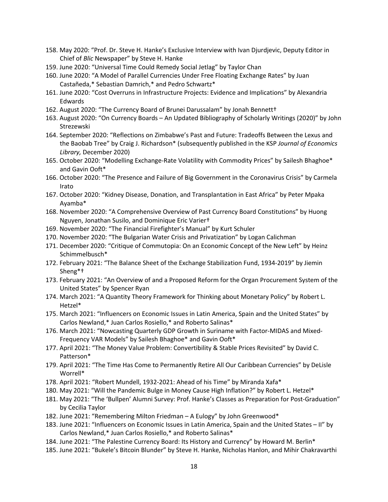- 158. May 2020: "Prof. Dr. Steve H. Hanke's Exclusive Interview with Ivan Djurdjevic, Deputy Editor in Chief of *Blic* Newspaper" by Steve H. Hanke
- 159. June 2020: "Universal Time Could Remedy Social Jetlag" by Taylor Chan
- 160. June 2020: "A Model of Parallel Currencies Under Free Floating Exchange Rates" by Juan Castañeda,\* Sebastian Damrich,\* and Pedro Schwartz\*
- 161. June 2020: "Cost Overruns in Infrastructure Projects: Evidence and Implications" by Alexandria Edwards
- 162. August 2020: "The Currency Board of Brunei Darussalam" by Jonah Bennett†
- 163. August 2020: "On Currency Boards An Updated Bibliography of Scholarly Writings (2020)" by John Strezewski
- 164. September 2020: "Reflections on Zimbabwe's Past and Future: Tradeoffs Between the Lexus and the Baobab Tree" by Craig J. Richardson\* (subsequently published in the KSP *Journal of Economics Library,* December 2020)
- 165. October 2020: "Modelling Exchange-Rate Volatility with Commodity Prices" by Sailesh Bhaghoe\* and Gavin Ooft\*
- 166. October 2020: "The Presence and Failure of Big Government in the Coronavirus Crisis" by Carmela Irato
- 167. October 2020: "Kidney Disease, Donation, and Transplantation in East Africa" by Peter Mpaka Ayamba\*
- 168. November 2020: "A Comprehensive Overview of Past Currency Board Constitutions" by Huong Nguyen, Jonathan Susilo, and Dominique Eric Varier†
- 169. November 2020: "The Financial Firefighter's Manual" by Kurt Schuler
- 170. November 2020: "The Bulgarian Water Crisis and Privatization" by Logan Calichman
- 171. December 2020: "Critique of Commutopia: On an Economic Concept of the New Left" by Heinz Schimmelbusch\*
- 172. February 2021: "The Balance Sheet of the Exchange Stabilization Fund, 1934-2019" by Jiemin Sheng\*†
- 173. February 2021: "An Overview of and a Proposed Reform for the Organ Procurement System of the United States" by Spencer Ryan
- 174. March 2021: "A Quantity Theory Framework for Thinking about Monetary Policy" by Robert L. Hetzel\*
- 175. March 2021: "Influencers on Economic Issues in Latin America, Spain and the United States" by Carlos Newland,\* Juan Carlos Rosiello,\* and Roberto Salinas\*
- 176. March 2021: "Nowcasting Quarterly GDP Growth in Suriname with Factor-MIDAS and Mixed-Frequency VAR Models" by Sailesh Bhaghoe\* and Gavin Ooft\*
- 177. April 2021: "The Money Value Problem: Convertibility & Stable Prices Revisited" by David C. Patterson\*
- 179. April 2021: "The Time Has Come to Permanently Retire All Our Caribbean Currencies" by DeLisle Worrell\*
- 178. April 2021: "Robert Mundell, 1932-2021: Ahead of his Time" by Miranda Xafa\*
- 180. May 2021: "Will the Pandemic Bulge in Money Cause High Inflation?" by Robert L. Hetzel\*
- 181. May 2021: "The 'Bullpen' Alumni Survey: Prof. Hanke's Classes as Preparation for Post-Graduation" by Cecilia Taylor
- 182. June 2021: "Remembering Milton Friedman A Eulogy" by John Greenwood\*
- 183. June 2021: "Influencers on Economic Issues in Latin America, Spain and the United States II" by Carlos Newland,\* Juan Carlos Rosiello,\* and Roberto Salinas\*
- 184. June 2021: "The Palestine Currency Board: Its History and Currency" by Howard M. Berlin\*
- 185. June 2021: "Bukele's Bitcoin Blunder" by Steve H. Hanke, Nicholas Hanlon, and Mihir Chakravarthi